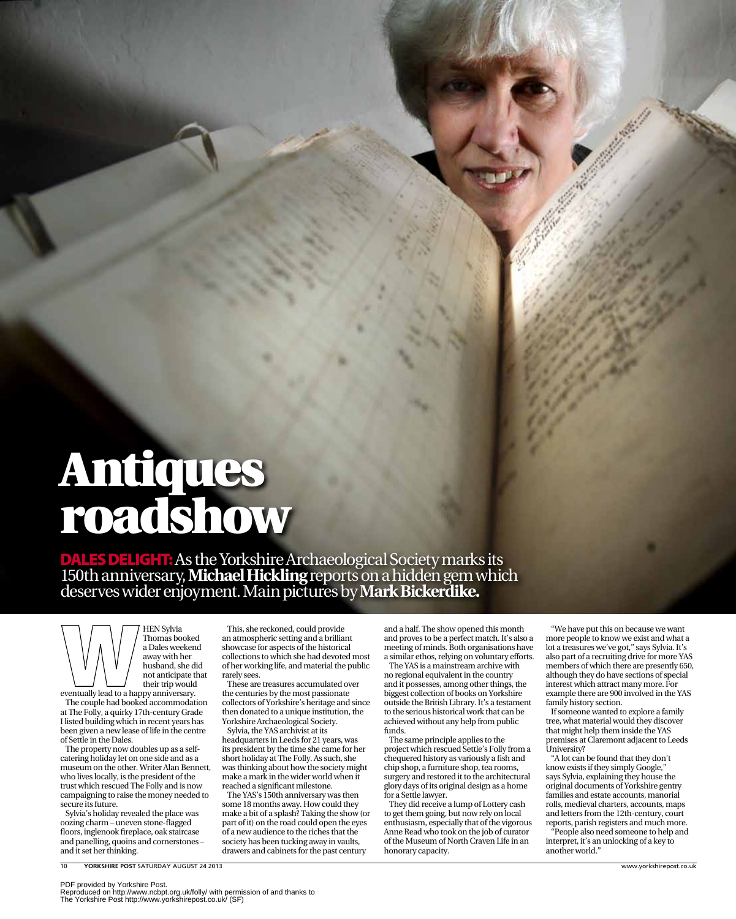## Antiques roadshow

Dales delight:As the Yorkshire Archaeological Society marks its 150th anniversary, **Michael Hickling** reports on a hidden gem which deserves wider enjoyment. Main pictures by **Mark Bickerdike.**

**HEN Sylvia** Thomas booked a Dales weekend away with her husband, she did not anticipate that their trip would

eventually lead to a happy anniversary. The couple had booked accommodation at The Folly, a quirky 17th-century Grade I listed building which in recent years has been given a new lease of life in the centre of Settle in the Dales.

The property now doubles up as a selfcatering holiday let on one side and as a museum on the other. Writer Alan Bennett, who lives locally, is the president of the trust which rescued The Folly and is now campaigning to raise the money needed to secure its future.

Sylvia's holiday revealed the place was oozing charm – uneven stone-flagged floors, inglenook fireplace, oak staircase and panelling, quoins and cornerstones – and it set her thinking.

10 **Yorkshire Post** Saturday August 24 2013 www.yorkshirepost.co.uk

This, she reckoned, could provide an atmospheric setting and a brilliant showcase for aspects of the historical collections to which she had devoted most of her working life, and material the public rarely sees.

These are treasures accumulated over the centuries by the most passionate collectors of Yorkshire's heritage and since then donated to a unique institution, the Yorkshire Archaeological Society.

Sylvia, the YAS archivist at its headquarters in Leeds for 21 years, was its president by the time she came for her short holiday at The Folly. As such, she was thinking about how the society might make a mark in the wider world when it reached a significant milestone.

The YAS's 150th anniversary was then some 18 months away. How could they make a bit of a splash? Taking the show (or part of it) on the road could open the eyes of a new audience to the riches that the society has been tucking away in vaults, drawers and cabinets for the past century

and a half. The show opened this month and proves to be a perfect match. It's also a meeting of minds. Both organisations have a similar ethos, relying on voluntary efforts.

The YAS is a mainstream archive with no regional equivalent in the country and it possesses, among other things, the biggest collection of books on Yorkshire outside the British Library. It's a testament to the serious historical work that can be achieved without any help from public funds.

The same principle applies to the project which rescued Settle's Folly from a chequered history as variously a fish and chip shop, a furniture shop, tea rooms, surgery and restored it to the architectural glory days of its original design as a home for a Settle lawyer.

They did receive a lump of Lottery cash to get them going, but now rely on local enthusiasm, especially that of the vigorous Anne Read who took on the job of curator of the Museum of North Craven Life in an honorary capacity.

"We have put this on because we want more people to know we exist and what a lot a treasures we've got," says Sylvia. It's also part of a recruiting drive for more YAS members of which there are presently 650, although they do have sections of special interest which attract many more. For example there are 900 involved in the YAS family history section.

If someone wanted to explore a family tree, what material would they discover that might help them inside the YAS premises at Claremont adjacent to Leeds University?

"A lot can be found that they don't know exists if they simply Google," says Sylvia, explaining they house the original documents of Yorkshire gentry families and estate accounts, manorial rolls, medieval charters, accounts, maps and letters from the 12th-century, court reports, parish registers and much more.

"People also need someone to help and interpret, it's an unlocking of a key to another world.

PDF provided by Yorkshire Post. Reproduced on http://www.ncbpt.org.uk/folly/ with permission of and thanks to The Yorkshire Post http://www.yorkshirepost.co.uk/ (SF)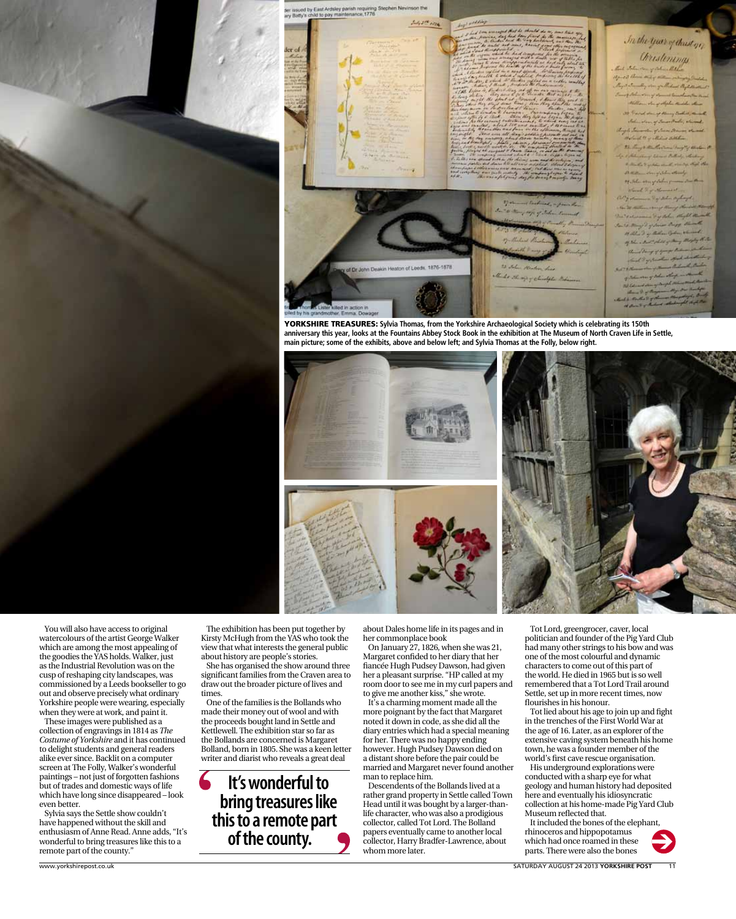

Stephen Nevinson the

YORKSHIRE TREASURES: Sylvia Thomas, from the Yorkshire Archaeological Society which is celebrating its 150th **anniversary this year, looks at the Fountains Abbey Stock Book in the exhibition at The Museum of North Craven Life in Settle, main picture; some of the exhibits, above and below left; and Sylvia Thomas at the Folly, below right.**



You will also have access to original watercolours of the artist George Walker which are among the most appealing of the goodies the YAS holds. Walker, just as the Industrial Revolution was on the cusp of reshaping city landscapes, was commissioned by a Leeds bookseller to go out and observe precisely what ordinary Yorkshire people were wearing, especially when they were at work, and paint it.

These images were published as a collection of engravings in 1814 as *The Costume of Yorkshire* and it has continued to delight students and general readers alike ever since. Backlit on a computer screen at The Folly, Walker's wonderful paintings – not just of forgotten fashions but of trades and domestic ways of life which have long since disappeared – look even better.

Sylvia says the Settle show couldn't have happened without the skill and enthusiasm of Anne Read. Anne adds, "It's wonderful to bring treasures like this to a remote part of the county."

The exhibition has been put together by Kirsty McHugh from the YAS who took the view that what interests the general public about history are people's stories.

She has organised the show around three significant families from the Craven area to draw out the broader picture of lives and times

One of the families is the Bollands who made their money out of wool and with the proceeds bought land in Settle and Kettlewell. The exhibition star so far as the Bollands are concerned is Margaret Bolland, born in 1805. She was a keen letter writer and diarist who reveals a great deal

**It's wonderful to bring treasures like this to a remote part of the county.**

about Dales home life in its pages and in her commonplace book

On January 27, 1826, when she was 21, Margaret confided to her diary that her fiancée Hugh Pudsey Dawson, had given her a pleasant surprise. "HP called at my room door to see me in my curl papers and to give me another kiss," she wrote.

It's a charming moment made all the more poignant by the fact that Margaret noted it down in code, as she did all the diary entries which had a special meaning for her. There was no happy ending however. Hugh Pudsey Dawson died on a distant shore before the pair could be married and Margaret never found another man to replace him.

Descendents of the Bollands lived at a rather grand property in Settle called Town Head until it was bought by a larger-thanlife character, who was also a prodigious collector, called Tot Lord. The Bolland papers eventually came to another local collector, Harry Bradfer-Lawrence, about whom more later.

Tot Lord, greengrocer, caver, local politician and founder of the Pig Yard Club had many other strings to his bow and was one of the most colourful and dynamic characters to come out of this part of the world. He died in 1965 but is so well remembered that a Tot Lord Trail around Settle, set up in more recent times, now flourishes in his honour.

Tot lied about his age to join up and fight in the trenches of the First World War at the age of 16. Later, as an explorer of the extensive caving system beneath his home town, he was a founder member of the world's first cave rescue organisation.

His underground explorations were conducted with a sharp eye for what geology and human history had deposited here and eventually his idiosyncratic collection at his home-made Pig Yard Club Museum reflected that.

It included the bones of the elephant, rhinoceros and hippopotamus which had once roamed in these parts. There were also the bones